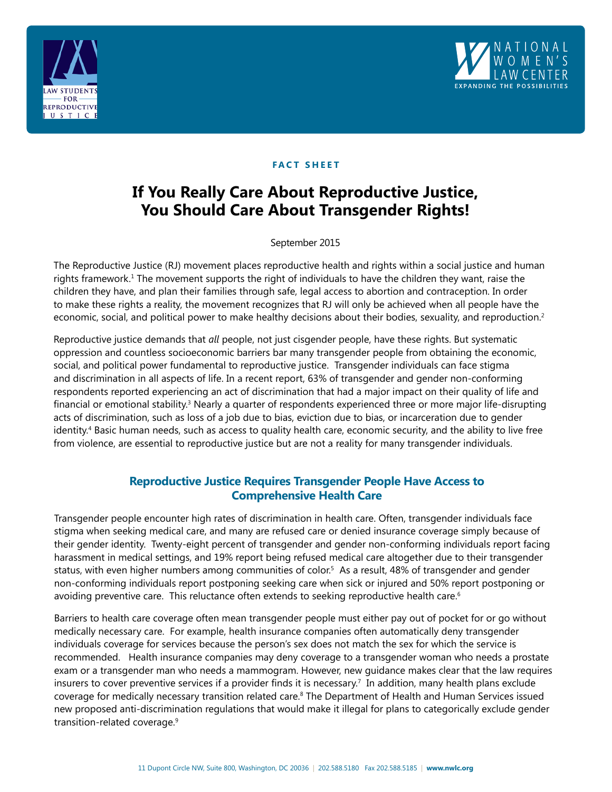



## **FACT SHEET**

# **If You Really Care About Reproductive Justice, You Should Care About Transgender Rights!**

September 2015

The Reproductive Justice (RJ) movement places reproductive health and rights within a social justice and human rights framework.<sup>1</sup> The movement supports the right of individuals to have the children they want, raise the children they have, and plan their families through safe, legal access to abortion and contraception. In order to make these rights a reality, the movement recognizes that RJ will only be achieved when all people have the economic, social, and political power to make healthy decisions about their bodies, sexuality, and reproduction.<sup>2</sup>

Reproductive justice demands that *all* people, not just cisgender people, have these rights. But systematic oppression and countless socioeconomic barriers bar many transgender people from obtaining the economic, social, and political power fundamental to reproductive justice. Transgender individuals can face stigma and discrimination in all aspects of life. In a recent report, 63% of transgender and gender non-conforming respondents reported experiencing an act of discrimination that had a major impact on their quality of life and financial or emotional stability.<sup>3</sup> Nearly a quarter of respondents experienced three or more major life-disrupting acts of discrimination, such as loss of a job due to bias, eviction due to bias, or incarceration due to gender identity.4 Basic human needs, such as access to quality health care, economic security, and the ability to live free from violence, are essential to reproductive justice but are not a reality for many transgender individuals.

## **Reproductive Justice Requires Transgender People Have Access to Comprehensive Health Care**

Transgender people encounter high rates of discrimination in health care. Often, transgender individuals face stigma when seeking medical care, and many are refused care or denied insurance coverage simply because of their gender identity. Twenty-eight percent of transgender and gender non-conforming individuals report facing harassment in medical settings, and 19% report being refused medical care altogether due to their transgender status, with even higher numbers among communities of color.<sup>5</sup> As a result, 48% of transgender and gender non-conforming individuals report postponing seeking care when sick or injured and 50% report postponing or avoiding preventive care. This reluctance often extends to seeking reproductive health care.<sup>6</sup>

Barriers to health care coverage often mean transgender people must either pay out of pocket for or go without medically necessary care. For example, health insurance companies often automatically deny transgender individuals coverage for services because the person's sex does not match the sex for which the service is recommended. Health insurance companies may deny coverage to a transgender woman who needs a prostate exam or a transgender man who needs a mammogram. However, new guidance makes clear that the law requires insurers to cover preventive services if a provider finds it is necessary.<sup>7</sup> In addition, many health plans exclude coverage for medically necessary transition related care.8 The Department of Health and Human Services issued new proposed anti-discrimination regulations that would make it illegal for plans to categorically exclude gender transition-related coverage.9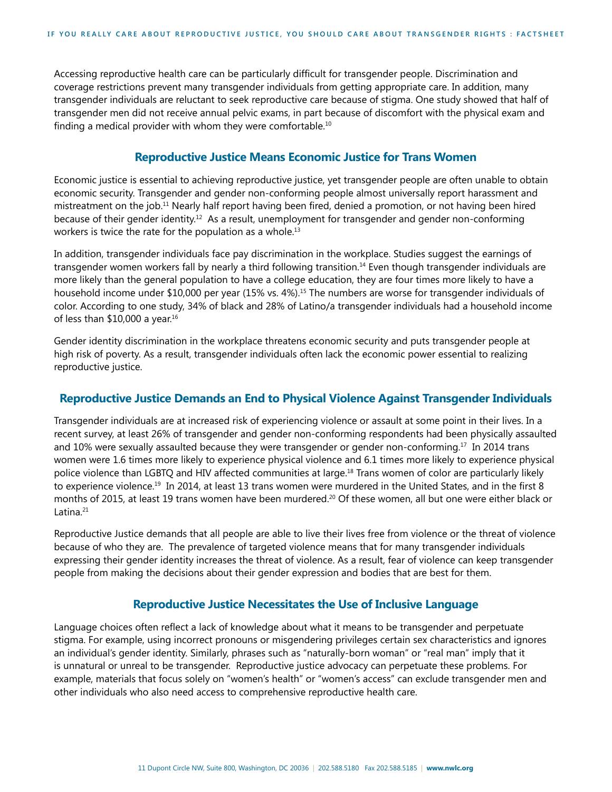Accessing reproductive health care can be particularly difficult for transgender people. Discrimination and coverage restrictions prevent many transgender individuals from getting appropriate care. In addition, many transgender individuals are reluctant to seek reproductive care because of stigma. One study showed that half of transgender men did not receive annual pelvic exams, in part because of discomfort with the physical exam and finding a medical provider with whom they were comfortable.<sup>10</sup>

## **Reproductive Justice Means Economic Justice for Trans Women**

Economic justice is essential to achieving reproductive justice, yet transgender people are often unable to obtain economic security. Transgender and gender non-conforming people almost universally report harassment and mistreatment on the job.11 Nearly half report having been fired, denied a promotion, or not having been hired because of their gender identity.12 As a result, unemployment for transgender and gender non-conforming workers is twice the rate for the population as a whole.<sup>13</sup>

In addition, transgender individuals face pay discrimination in the workplace. Studies suggest the earnings of transgender women workers fall by nearly a third following transition.<sup>14</sup> Even though transgender individuals are more likely than the general population to have a college education, they are four times more likely to have a household income under \$10,000 per year (15% vs. 4%).<sup>15</sup> The numbers are worse for transgender individuals of color. According to one study, 34% of black and 28% of Latino/a transgender individuals had a household income of less than  $$10,000$  a year.<sup>16</sup>

Gender identity discrimination in the workplace threatens economic security and puts transgender people at high risk of poverty. As a result, transgender individuals often lack the economic power essential to realizing reproductive justice.

#### **Reproductive Justice Demands an End to Physical Violence Against Transgender Individuals**

Transgender individuals are at increased risk of experiencing violence or assault at some point in their lives. In a recent survey, at least 26% of transgender and gender non-conforming respondents had been physically assaulted and 10% were sexually assaulted because they were transgender or gender non-conforming.17 In 2014 trans women were 1.6 times more likely to experience physical violence and 6.1 times more likely to experience physical police violence than LGBTQ and HIV affected communities at large.18 Trans women of color are particularly likely to experience violence.19 In 2014, at least 13 trans women were murdered in the United States, and in the first 8 months of 2015, at least 19 trans women have been murdered.<sup>20</sup> Of these women, all but one were either black or Latina.<sup>21</sup>

Reproductive Justice demands that all people are able to live their lives free from violence or the threat of violence because of who they are. The prevalence of targeted violence means that for many transgender individuals expressing their gender identity increases the threat of violence. As a result, fear of violence can keep transgender people from making the decisions about their gender expression and bodies that are best for them.

#### **Reproductive Justice Necessitates the Use of Inclusive Language**

Language choices often reflect a lack of knowledge about what it means to be transgender and perpetuate stigma. For example, using incorrect pronouns or misgendering privileges certain sex characteristics and ignores an individual's gender identity. Similarly, phrases such as "naturally-born woman" or "real man" imply that it is unnatural or unreal to be transgender. Reproductive justice advocacy can perpetuate these problems. For example, materials that focus solely on "women's health" or "women's access" can exclude transgender men and other individuals who also need access to comprehensive reproductive health care.